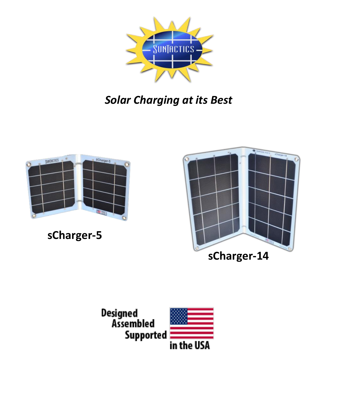

# *Solar Charging at its Best*



**sCharger-5**



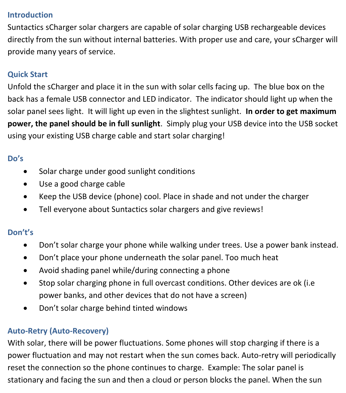#### **Introduction**

Suntactics sCharger solar chargers are capable of solar charging USB rechargeable devices directly from the sun without internal batteries. With proper use and care, your sCharger will provide many years of service.

## **Quick Start**

Unfold the sCharger and place it in the sun with solar cells facing up. The blue box on the back has a female USB connector and LED indicator. The indicator should light up when the solar panel sees light. It will light up even in the slightest sunlight. **In order to get maximum power, the panel should be in full sunlight**. Simply plug your USB device into the USB socket using your existing USB charge cable and start solar charging!

## **Do's**

- Solar charge under good sunlight conditions
- Use a good charge cable
- Keep the USB device (phone) cool. Place in shade and not under the charger
- Tell everyone about Suntactics solar chargers and give reviews!

## **Don't's**

- Don't solar charge your phone while walking under trees. Use a power bank instead.
- Don't place your phone underneath the solar panel. Too much heat
- Avoid shading panel while/during connecting a phone
- Stop solar charging phone in full overcast conditions. Other devices are ok (i.e power banks, and other devices that do not have a screen)
- Don't solar charge behind tinted windows

## **Auto-Retry (Auto-Recovery)**

With solar, there will be power fluctuations. Some phones will stop charging if there is a power fluctuation and may not restart when the sun comes back. Auto-retry will periodically reset the connection so the phone continues to charge. Example: The solar panel is stationary and facing the sun and then a cloud or person blocks the panel. When the sun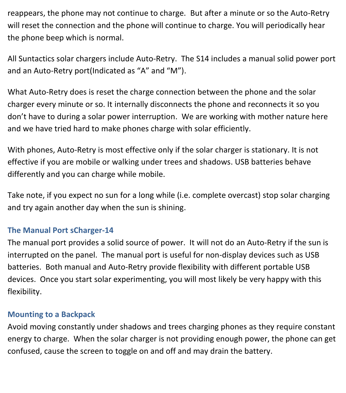reappears, the phone may not continue to charge. But after a minute or so the Auto-Retry will reset the connection and the phone will continue to charge. You will periodically hear the phone beep which is normal.

All Suntactics solar chargers include Auto-Retry. The S14 includes a manual solid power port and an Auto-Retry port(Indicated as "A" and "M").

What Auto-Retry does is reset the charge connection between the phone and the solar charger every minute or so. It internally disconnects the phone and reconnects it so you don't have to during a solar power interruption. We are working with mother nature here and we have tried hard to make phones charge with solar efficiently.

With phones, Auto-Retry is most effective only if the solar charger is stationary. It is not effective if you are mobile or walking under trees and shadows. USB batteries behave differently and you can charge while mobile.

Take note, if you expect no sun for a long while (i.e. complete overcast) stop solar charging and try again another day when the sun is shining.

#### **The Manual Port sCharger-14**

The manual port provides a solid source of power. It will not do an Auto-Retry if the sun is interrupted on the panel. The manual port is useful for non-display devices such as USB batteries. Both manual and Auto-Retry provide flexibility with different portable USB devices. Once you start solar experimenting, you will most likely be very happy with this flexibility.

#### **Mounting to a Backpack**

Avoid moving constantly under shadows and trees charging phones as they require constant energy to charge. When the solar charger is not providing enough power, the phone can get confused, cause the screen to toggle on and off and may drain the battery.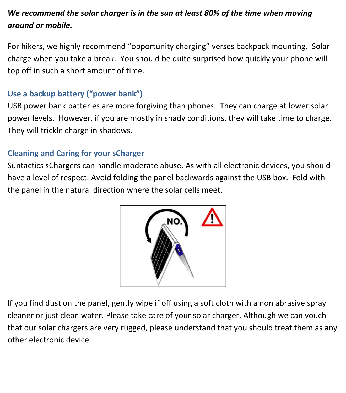# *We recommend the solar charger is in the sun at least 80% of the time when moving around or mobile.*

For hikers, we highly recommend "opportunity charging" verses backpack mounting. Solar charge when you take a break. You should be quite surprised how quickly your phone will top off in such a short amount of time.

## **Use a backup battery ("power bank")**

USB power bank batteries are more forgiving than phones. They can charge at lower solar power levels. However, if you are mostly in shady conditions, they will take time to charge. They will trickle charge in shadows.

## **Cleaning and Caring for your sCharger**

Suntactics sChargers can handle moderate abuse. As with all electronic devices, you should have a level of respect. Avoid folding the panel backwards against the USB box. Fold with the panel in the natural direction where the solar cells meet.



If you find dust on the panel, gently wipe if off using a soft cloth with a non abrasive spray cleaner or just clean water. Please take care of your solar charger. Although we can vouch that our solar chargers are very rugged, please understand that you should treat them as any other electronic device.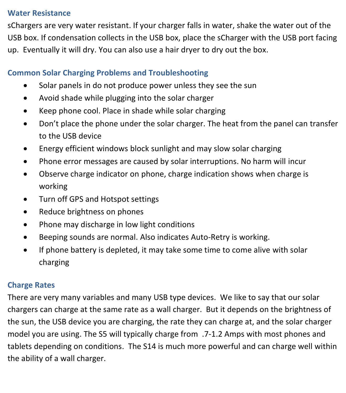#### **Water Resistance**

sChargers are very water resistant. If your charger falls in water, shake the water out of the USB box. If condensation collects in the USB box, place the sCharger with the USB port facing up. Eventually it will dry. You can also use a hair dryer to dry out the box.

## **Common Solar Charging Problems and Troubleshooting**

- Solar panels in do not produce power unless they see the sun
- Avoid shade while plugging into the solar charger
- Keep phone cool. Place in shade while solar charging
- Don't place the phone under the solar charger. The heat from the panel can transfer to the USB device
- Energy efficient windows block sunlight and may slow solar charging
- Phone error messages are caused by solar interruptions. No harm will incur
- Observe charge indicator on phone, charge indication shows when charge is working
- Turn off GPS and Hotspot settings
- Reduce brightness on phones
- Phone may discharge in low light conditions
- Beeping sounds are normal. Also indicates Auto-Retry is working.
- If phone battery is depleted, it may take some time to come alive with solar charging

## **Charge Rates**

There are very many variables and many USB type devices. We like to say that our solar chargers can charge at the same rate as a wall charger. But it depends on the brightness of the sun, the USB device you are charging, the rate they can charge at, and the solar charger model you are using. The S5 will typically charge from .7-1.2 Amps with most phones and tablets depending on conditions. The S14 is much more powerful and can charge well within the ability of a wall charger.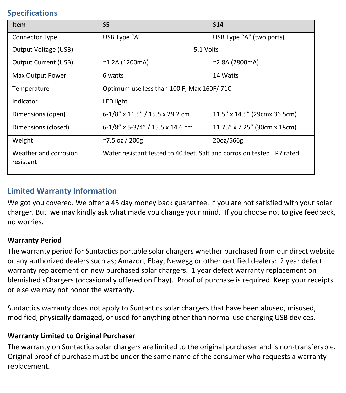#### **Specifications**

| Item                               | <b>S5</b>                                                                | <b>S14</b>                   |
|------------------------------------|--------------------------------------------------------------------------|------------------------------|
| <b>Connector Type</b>              | USB Type "A"                                                             | USB Type "A" (two ports)     |
| Output Voltage (USB)               | 5.1 Volts                                                                |                              |
| Output Current (USB)               | $^{\sim}$ 1.2A (1200mA)                                                  | $^{\sim}$ 2.8A (2800mA)      |
| Max Output Power                   | 6 watts                                                                  | 14 Watts                     |
| Temperature                        | Optimum use less than 100 F, Max 160F/71C                                |                              |
| Indicator                          | LED light                                                                |                              |
| Dimensions (open)                  | 6-1/8" x 11.5" / 15.5 x 29.2 cm                                          | 11.5" x 14.5" (29cmx 36.5cm) |
| Dimensions (closed)                | $6-1/8$ " x 5-3/4" / 15.5 x 14.6 cm                                      | 11.75" x 7.25" (30cm x 18cm) |
| Weight                             | $^{\sim}$ 7.5 oz / 200g                                                  | 20oz/566g                    |
| Weather and corrosion<br>resistant | Water resistant tested to 40 feet. Salt and corrosion tested. IP7 rated. |                              |

### **Limited Warranty Information**

We got you covered. We offer a 45 day money back guarantee. If you are not satisfied with your solar charger. But we may kindly ask what made you change your mind. If you choose not to give feedback, no worries.

#### **Warranty Period**

The warranty period for Suntactics portable solar chargers whether purchased from our direct website or any authorized dealers such as; Amazon, Ebay, Newegg or other certified dealers: 2 year defect warranty replacement on new purchased solar chargers. 1 year defect warranty replacement on blemished sChargers (occasionally offered on Ebay). Proof of purchase is required. Keep your receipts or else we may not honor the warranty.

Suntactics warranty does not apply to Suntactics solar chargers that have been abused, misused, modified, physically damaged, or used for anything other than normal use charging USB devices.

#### **Warranty Limited to Original Purchaser**

The warranty on Suntactics solar chargers are limited to the original purchaser and is non-transferable. Original proof of purchase must be under the same name of the consumer who requests a warranty replacement.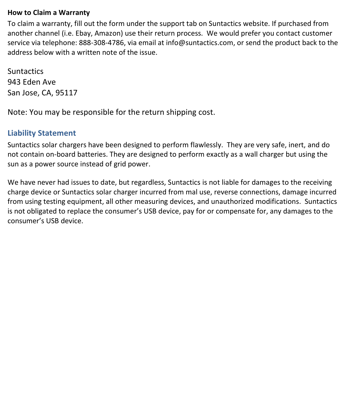#### **How to Claim a Warranty**

To claim a warranty, fill out the form under the support tab on Suntactics website. If purchased from another channel (i.e. Ebay, Amazon) use their return process. We would prefer you contact customer service via telephone: 888-308-4786, via email at [info@suntactics.com,](mailto:info@suntactics.com) or send the product back to the address below with a written note of the issue.

**Suntactics** 943 Eden Ave San Jose, CA, 95117

Note: You may be responsible for the return shipping cost.

#### **Liability Statement**

Suntactics solar chargers have been designed to perform flawlessly. They are very safe, inert, and do not contain on-board batteries. They are designed to perform exactly as a wall charger but using the sun as a power source instead of grid power.

We have never had issues to date, but regardless, Suntactics is not liable for damages to the receiving charge device or Suntactics solar charger incurred from mal use, reverse connections, damage incurred from using testing equipment, all other measuring devices, and unauthorized modifications. Suntactics is not obligated to replace the consumer's USB device, pay for or compensate for, any damages to the consumer's USB device.